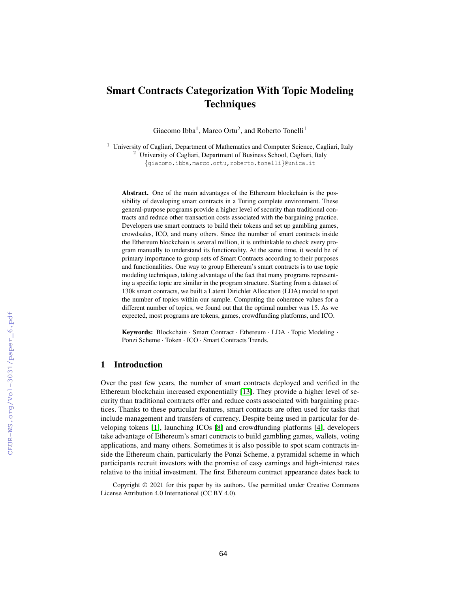# Smart Contracts Categorization With Topic Modeling **Techniques**

Giacomo Ibba<sup>1</sup>, Marco Ortu<sup>2</sup>, and Roberto Tonelli<sup>1</sup>

<sup>1</sup> University of Cagliari, Department of Mathematics and Computer Science, Cagliari, Italy <sup>2</sup> University of Cagliari, Department of Business School, Cagliari, Italy

{giacomo.ibba,marco.ortu,roberto.tonelli}@unica.it

Abstract. One of the main advantages of the Ethereum blockchain is the possibility of developing smart contracts in a Turing complete environment. These general-purpose programs provide a higher level of security than traditional contracts and reduce other transaction costs associated with the bargaining practice. Developers use smart contracts to build their tokens and set up gambling games, crowdsales, ICO, and many others. Since the number of smart contracts inside the Ethereum blockchain is several million, it is unthinkable to check every program manually to understand its functionality. At the same time, it would be of primary importance to group sets of Smart Contracts according to their purposes and functionalities. One way to group Ethereum's smart contracts is to use topic modeling techniques, taking advantage of the fact that many programs representing a specific topic are similar in the program structure. Starting from a dataset of 130k smart contracts, we built a Latent Dirichlet Allocation (LDA) model to spot the number of topics within our sample. Computing the coherence values for a different number of topics, we found out that the optimal number was 15. As we expected, most programs are tokens, games, crowdfunding platforms, and ICO.

Keywords: Blockchain · Smart Contract · Ethereum · LDA · Topic Modeling · Ponzi Scheme · Token · ICO · Smart Contracts Trends.

#### 1 Introduction

Over the past few years, the number of smart contracts deployed and verified in the Ethereum blockchain increased exponentially [\[13\]](#page--1-0). They provide a higher level of security than traditional contracts offer and reduce costs associated with bargaining practices. Thanks to these particular features, smart contracts are often used for tasks that include management and transfers of currency. Despite being used in particular for developing tokens [\[1\]](#page--1-1), launching ICOs [\[8\]](#page--1-2) and crowdfunding platforms [\[4\]](#page--1-3), developers take advantage of Ethereum's smart contracts to build gambling games, wallets, voting applications, and many others. Sometimes it is also possible to spot scam contracts inside the Ethereum chain, particularly the Ponzi Scheme, a pyramidal scheme in which participants recruit investors with the promise of easy earnings and high-interest rates relative to the initial investment. The first Ethereum contract appearance dates back to

Copyright © 2021 for this paper by its authors. Use permitted under Creative Commons License Attribution 4.0 International (CC BY 4.0).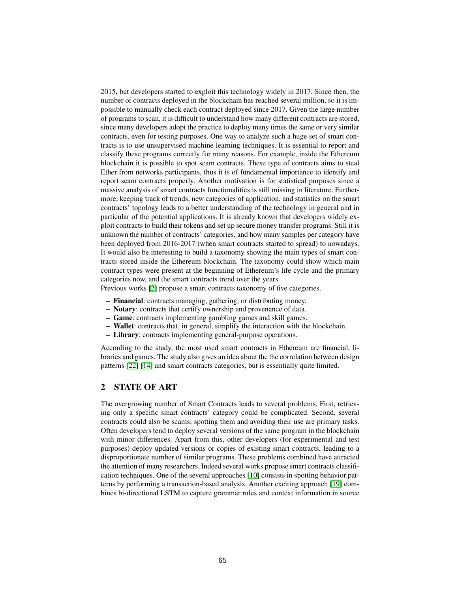2015, but developers started to exploit this technology widely in 2017. Since then, the number of contracts deployed in the blockchain has reached several million, so it is impossible to manually check each contract deployed since 2017. Given the large number of programs to scan, it is difficult to understand how many different contracts are stored, since many developers adopt the practice to deploy many times the same or very similar contracts, even for testing purposes. One way to analyze such a huge set of smart contracts is to use unsupervised machine learning techniques. It is essential to report and classify these programs correctly for many reasons. For example, inside the Ethereum blockchain it is possible to spot scam contracts. These type of contracts aims to steal Ether from networks participants, thus it is of fundamental importance to identify and report scam contracts properly. Another motivation is for statistical purposes since a massive analysis of smart contracts functionalities is still missing in literature. Furthermore, keeping track of trends, new categories of application, and statistics on the smart contracts' topology leads to a better understanding of the technology in general and in particular of the potential applications. It is already known that developers widely exploit contracts to build their tokens and set up secure money transfer programs. Still it is unknown the number of contracts' categories, and how many samples per category have been deployed from 2016-2017 (when smart contracts started to spread) to nowadays. It would also be interesting to build a taxonomy showing the main types of smart contracts stored inside the Ethereum blockchain. The taxonomy could show which main contract types were present at the beginning of Ethereum's life cycle and the primary categories now, and the smart contracts trend over the years.

Previous works [\[2\]](#page-8-0) propose a smart contracts taxonomy of five categories.

- Financial: contracts managing, gathering, or distributing money.
- Notary: contracts that certify ownership and provenance of data.
- Game: contracts implementing gambling games and skill games.
- Wallet: contracts that, in general, simplify the interaction with the blockchain.
- Library: contracts implementing general-purpose operations.

According to the study, the most used smart contracts in Ethereum are financial, libraries and games. The study also gives an idea about the the correlation between design patterns [\[22\]](#page-9-0) [\[14\]](#page-9-1) and smart contracts categories, but is essentially quite limited.

### 2 STATE OF ART

The overgrowing number of Smart Contracts leads to several problems. First, retrieving only a specific smart contracts' category could be complicated. Second, several contracts could also be scams; spotting them and avoiding their use are primary tasks. Often developers tend to deploy several versions of the same program in the blockchain with minor differences. Apart from this, other developers (for experimental and test purposes) deploy updated versions or copies of existing smart contracts, leading to a disproportionate number of similar programs. These problems combined have attracted the attention of many researchers. Indeed several works propose smart contracts classification techniques. One of the several approaches [\[10\]](#page-8-1) consists in spotting behavior patterns by performing a transaction-based analysis. Another exciting approach [\[19\]](#page-9-2) combines bi-directional LSTM to capture grammar rules and context information in source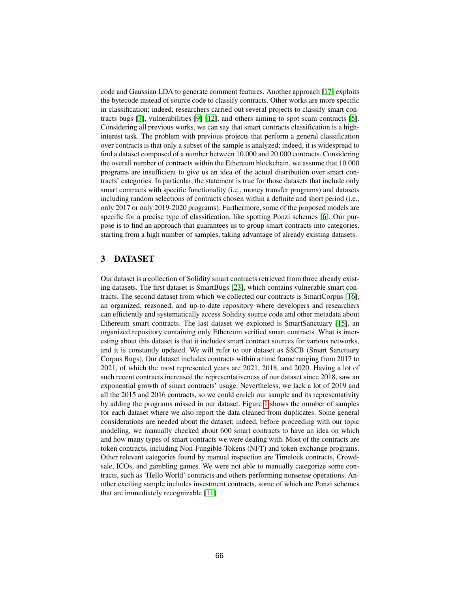code and Gaussian LDA to generate comment features. Another approach [\[17\]](#page-9-3) exploits the bytecode instead of source code to classify contracts. Other works are more specific in classification; indeed, researchers carried out several projects to classify smart contracts bugs [\[7\]](#page-8-2), vulnerabilities [\[9\]](#page-8-3) [\[12\]](#page-8-4), and others aiming to spot scam contracts [\[5\]](#page-8-5). Considering all previous works, we can say that smart contracts classification is a highinterest task. The problem with previous projects that perform a general classification over contracts is that only a subset of the sample is analyzed; indeed, it is widespread to find a dataset composed of a number between 10.000 and 20.000 contracts. Considering the overall number of contracts within the Ethereum blockchain, we assume that 10.000 programs are insufficient to give us an idea of the actual distribution over smart contracts' categories. In particular, the statement is true for those datasets that include only smart contracts with specific functionality (i.e., money transfer programs) and datasets including random selections of contracts chosen within a definite and short period (i.e., only 2017 or only 2019-2020 programs). Furthermore, some of the proposed models are specific for a precise type of classification, like spotting Ponzi schemes [\[6\]](#page-8-6). Our purpose is to find an approach that guarantees us to group smart contracts into categories, starting from a high number of samples, taking advantage of already existing datasets.

# 3 DATASET

Our dataset is a collection of Solidity smart contracts retrieved from three already existing datasets. The first dataset is SmartBugs [\[23\]](#page-9-4), which contains vulnerable smart contracts. The second dataset from which we collected our contracts is SmartCorpus [\[16\]](#page-9-5), an organized, reasoned, and up-to-date repository where developers and researchers can efficiently and systematically access Solidity source code and other metadata about Ethereum smart contracts. The last dataset we exploited is SmartSanctuary [\[15\]](#page-9-6), an organized repository containing only Ethereum verified smart contracts. What is interesting about this dataset is that it includes smart contract sources for various networks, and it is constantly updated. We will refer to our dataset as SSCB (Smart Sanctuary Corpus Bugs). Our dataset includes contracts within a time frame ranging from 2017 to 2021, of which the most represented years are 2021, 2018, and 2020. Having a lot of such recent contracts increased the representativeness of our dataset since 2018, saw an exponential growth of smart contracts' usage. Nevertheless, we lack a lot of 2019 and all the 2015 and 2016 contracts, so we could enrich our sample and its representativity by adding the programs missed in our dataset. Figure [1](#page-3-0) shows the number of samples for each dataset where we also report the data cleaned from duplicates. Some general considerations are needed about the dataset; indeed, before proceeding with our topic modeling, we manually checked about 600 smart contracts to have an idea on which and how many types of smart contracts we were dealing with. Most of the contracts are token contracts, including Non-Fungible-Tokens (NFT) and token exchange programs. Other relevant categories found by manual inspection are Timelock contracts, Crowdsale, ICOs, and gambling games. We were not able to manually categorize some contracts, such as 'Hello World' contracts and others performing nonsense operations. Another exciting sample includes investment contracts, some of which are Ponzi schemes that are immediately recognizable [\[11\]](#page-8-7)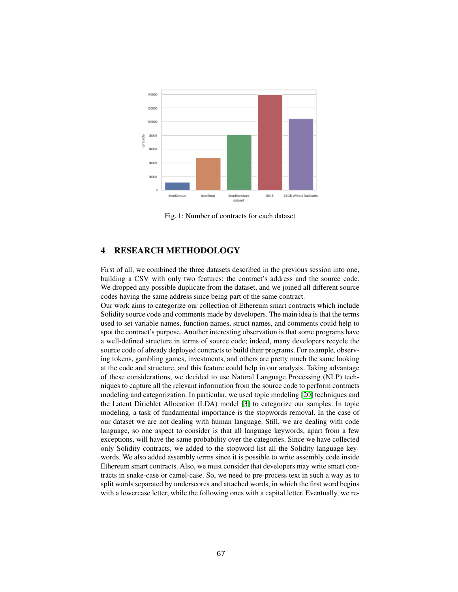<span id="page-3-0"></span>

Fig. 1: Number of contracts for each dataset

# 4 RESEARCH METHODOLOGY

First of all, we combined the three datasets described in the previous session into one, building a CSV with only two features: the contract's address and the source code. We dropped any possible duplicate from the dataset, and we joined all different source codes having the same address since being part of the same contract.

Our work aims to categorize our collection of Ethereum smart contracts which include Solidity source code and comments made by developers. The main idea is that the terms used to set variable names, function names, struct names, and comments could help to spot the contract's purpose. Another interesting observation is that some programs have a well-defined structure in terms of source code; indeed, many developers recycle the source code of already deployed contracts to build their programs. For example, observing tokens, gambling games, investments, and others are pretty much the same looking at the code and structure, and this feature could help in our analysis. Taking advantage of these considerations, we decided to use Natural Language Processing (NLP) techniques to capture all the relevant information from the source code to perform contracts modeling and categorization. In particular, we used topic modeling [\[20\]](#page-9-7) techniques and the Latent Dirichlet Allocation (LDA) model [\[3\]](#page-8-8) to categorize our samples. In topic modeling, a task of fundamental importance is the stopwords removal. In the case of our dataset we are not dealing with human language. Still, we are dealing with code language, so one aspect to consider is that all language keywords, apart from a few exceptions, will have the same probability over the categories. Since we have collected only Solidity contracts, we added to the stopword list all the Solidity language keywords. We also added assembly terms since it is possible to write assembly code inside Ethereum smart contracts. Also, we must consider that developers may write smart contracts in snake-case or camel-case. So, we need to pre-process text in such a way as to split words separated by underscores and attached words, in which the first word begins with a lowercase letter, while the following ones with a capital letter. Eventually, we re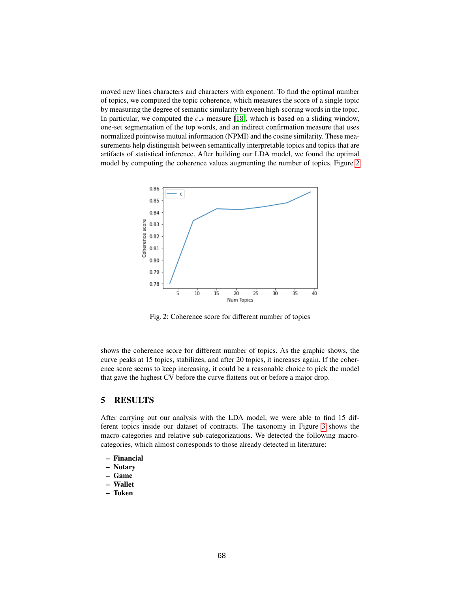moved new lines characters and characters with exponent. To find the optimal number of topics, we computed the topic coherence, which measures the score of a single topic by measuring the degree of semantic similarity between high-scoring words in the topic. In particular, we computed the  $c_v$  measure [\[18\]](#page-9-8), which is based on a sliding window, one-set segmentation of the top words, and an indirect confirmation measure that uses normalized pointwise mutual information (NPMI) and the cosine similarity. These measurements help distinguish between semantically interpretable topics and topics that are artifacts of statistical inference. After building our LDA model, we found the optimal model by computing the coherence values augmenting the number of topics. Figure [2](#page-4-0)

<span id="page-4-0"></span>

Fig. 2: Coherence score for different number of topics

shows the coherence score for different number of topics. As the graphic shows, the curve peaks at 15 topics, stabilizes, and after 20 topics, it increases again. If the coherence score seems to keep increasing, it could be a reasonable choice to pick the model that gave the highest CV before the curve flattens out or before a major drop.

## 5 RESULTS

After carrying out our analysis with the LDA model, we were able to find 15 different topics inside our dataset of contracts. The taxonomy in Figure [3](#page-5-0) shows the macro-categories and relative sub-categorizations. We detected the following macrocategories, which almost corresponds to those already detected in literature:

- Financial
- Notary
- Game
- Wallet
- Token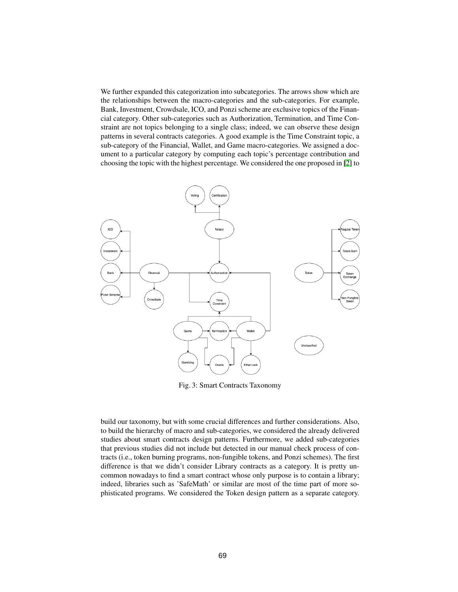We further expanded this categorization into subcategories. The arrows show which are the relationships between the macro-categories and the sub-categories. For example, Bank, Investment, Crowdsale, ICO, and Ponzi scheme are exclusive topics of the Financial category. Other sub-categories such as Authorization, Termination, and Time Constraint are not topics belonging to a single class; indeed, we can observe these design patterns in several contracts categories. A good example is the Time Constraint topic, a sub-category of the Financial, Wallet, and Game macro-categories. We assigned a document to a particular category by computing each topic's percentage contribution and choosing the topic with the highest percentage. We considered the one proposed in [\[2\]](#page-8-0) to

<span id="page-5-0"></span>

Fig. 3: Smart Contracts Taxonomy

build our taxonomy, but with some crucial differences and further considerations. Also, to build the hierarchy of macro and sub-categories, we considered the already delivered studies about smart contracts design patterns. Furthermore, we added sub-categories that previous studies did not include but detected in our manual check process of contracts (i.e., token burning programs, non-fungible tokens, and Ponzi schemes). The first difference is that we didn't consider Library contracts as a category. It is pretty uncommon nowadays to find a smart contract whose only purpose is to contain a library; indeed, libraries such as 'SafeMath' or similar are most of the time part of more sophisticated programs. We considered the Token design pattern as a separate category.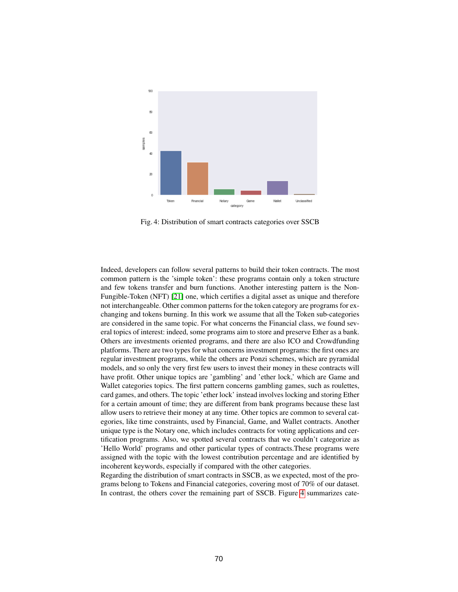<span id="page-6-0"></span>

Fig. 4: Distribution of smart contracts categories over SSCB

Indeed, developers can follow several patterns to build their token contracts. The most common pattern is the 'simple token': these programs contain only a token structure and few tokens transfer and burn functions. Another interesting pattern is the Non-Fungible-Token (NFT) [\[21\]](#page-9-9) one, which certifies a digital asset as unique and therefore not interchangeable. Other common patterns for the token category are programs for exchanging and tokens burning. In this work we assume that all the Token sub-categories are considered in the same topic. For what concerns the Financial class, we found several topics of interest: indeed, some programs aim to store and preserve Ether as a bank. Others are investments oriented programs, and there are also ICO and Crowdfunding platforms. There are two types for what concerns investment programs: the first ones are regular investment programs, while the others are Ponzi schemes, which are pyramidal models, and so only the very first few users to invest their money in these contracts will have profit. Other unique topics are 'gambling' and 'ether lock,' which are Game and Wallet categories topics. The first pattern concerns gambling games, such as roulettes, card games, and others. The topic 'ether lock' instead involves locking and storing Ether for a certain amount of time; they are different from bank programs because these last allow users to retrieve their money at any time. Other topics are common to several categories, like time constraints, used by Financial, Game, and Wallet contracts. Another unique type is the Notary one, which includes contracts for voting applications and certification programs. Also, we spotted several contracts that we couldn't categorize as 'Hello World' programs and other particular types of contracts.These programs were assigned with the topic with the lowest contribution percentage and are identified by incoherent keywords, especially if compared with the other categories.

Regarding the distribution of smart contracts in SSCB, as we expected, most of the programs belong to Tokens and Financial categories, covering most of 70% of our dataset. In contrast, the others cover the remaining part of SSCB. Figure [4](#page-6-0) summarizes cate-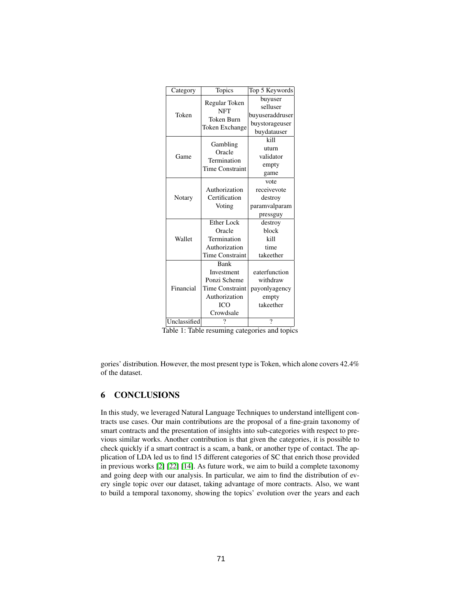| Category     | Topics                                                      | Top 5 Keywords  |
|--------------|-------------------------------------------------------------|-----------------|
| Token        | Regular Token<br><b>NFT</b><br>Token Burn<br>Token Exchange | buyuser         |
|              |                                                             | selluser        |
|              |                                                             | buyuseraddruser |
|              |                                                             | buystorageuser  |
|              |                                                             | buydatauser     |
| Game         | Gambling<br>Oracle<br>Termination<br><b>Time Constraint</b> | kill            |
|              |                                                             | uturn           |
|              |                                                             | validator       |
|              |                                                             | empty           |
|              |                                                             | game            |
| Notary       |                                                             | vote            |
|              | Authorization                                               | receivevote     |
|              | Certification                                               | destroy         |
|              | Voting                                                      | paramvalparam   |
|              |                                                             | pressguy        |
| Wallet       | Ether Lock                                                  | destroy         |
|              | Oracle                                                      | block           |
|              | Termination                                                 | kill            |
|              | Authorization                                               | time            |
|              | Time Constraint                                             | takeether       |
| Financial    | Bank                                                        |                 |
|              | Investment                                                  | eaterfunction   |
|              | Ponzi Scheme                                                | withdraw        |
|              | <b>Time Constraint</b>                                      | payonlyagency   |
|              | Authorization                                               | empty           |
|              | <b>ICO</b>                                                  | takeether       |
|              | Crowdsale                                                   |                 |
| Unclassified | 7                                                           | ?               |

Table 1: Table resuming categories and topics

gories' distribution. However, the most present type is Token, which alone covers 42.4% of the dataset.

## 6 CONCLUSIONS

In this study, we leveraged Natural Language Techniques to understand intelligent contracts use cases. Our main contributions are the proposal of a fine-grain taxonomy of smart contracts and the presentation of insights into sub-categories with respect to previous similar works. Another contribution is that given the categories, it is possible to check quickly if a smart contract is a scam, a bank, or another type of contact. The application of LDA led us to find 15 different categories of SC that enrich those provided in previous works [\[2\]](#page-8-0) [\[22\]](#page-9-0) [\[14\]](#page-9-1). As future work, we aim to build a complete taxonomy and going deep with our analysis. In particular, we aim to find the distribution of every single topic over our dataset, taking advantage of more contracts. Also, we want to build a temporal taxonomy, showing the topics' evolution over the years and each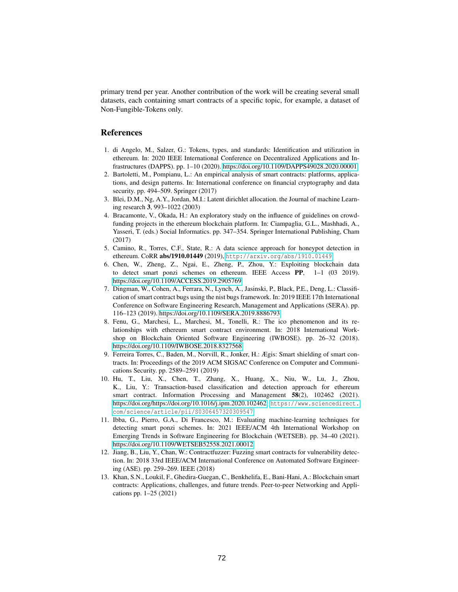primary trend per year. Another contribution of the work will be creating several small datasets, each containing smart contracts of a specific topic, for example, a dataset of Non-Fungible-Tokens only.

#### References

- 1. di Angelo, M., Salzer, G.: Tokens, types, and standards: Identification and utilization in ethereum. In: 2020 IEEE International Conference on Decentralized Applications and Infrastructures (DAPPS). pp. 1–10 (2020).<https://doi.org/10.1109/DAPPS49028.2020.00001>
- <span id="page-8-0"></span>2. Bartoletti, M., Pompianu, L.: An empirical analysis of smart contracts: platforms, applications, and design patterns. In: International conference on financial cryptography and data security. pp. 494–509. Springer (2017)
- <span id="page-8-8"></span>3. Blei, D.M., Ng, A.Y., Jordan, M.I.: Latent dirichlet allocation. the Journal of machine Learning research 3, 993–1022 (2003)
- 4. Bracamonte, V., Okada, H.: An exploratory study on the influence of guidelines on crowdfunding projects in the ethereum blockchain platform. In: Ciampaglia, G.L., Mashhadi, A., Yasseri, T. (eds.) Social Informatics. pp. 347–354. Springer International Publishing, Cham (2017)
- <span id="page-8-5"></span>5. Camino, R., Torres, C.F., State, R.: A data science approach for honeypot detection in ethereum. CoRR abs/1910.01449 (2019), <http://arxiv.org/abs/1910.01449>
- <span id="page-8-6"></span>6. Chen, W., Zheng, Z., Ngai, E., Zheng, P., Zhou, Y.: Exploiting blockchain data to detect smart ponzi schemes on ethereum. IEEE Access PP, 1–1 (03 2019). <https://doi.org/10.1109/ACCESS.2019.2905769>
- <span id="page-8-2"></span>7. Dingman, W., Cohen, A., Ferrara, N., Lynch, A., Jasinski, P., Black, P.E., Deng, L.: Classification of smart contract bugs using the nist bugs framework. In: 2019 IEEE 17th International Conference on Software Engineering Research, Management and Applications (SERA). pp. 116–123 (2019).<https://doi.org/10.1109/SERA.2019.8886793>
- 8. Fenu, G., Marchesi, L., Marchesi, M., Tonelli, R.: The ico phenomenon and its relationships with ethereum smart contract environment. In: 2018 International Workshop on Blockchain Oriented Software Engineering (IWBOSE). pp. 26–32 (2018). <https://doi.org/10.1109/IWBOSE.2018.8327568>
- <span id="page-8-3"></span>9. Ferreira Torres, C., Baden, M., Norvill, R., Jonker, H.: Ægis: Smart shielding of smart contracts. In: Proceedings of the 2019 ACM SIGSAC Conference on Computer and Communications Security. pp. 2589–2591 (2019)
- <span id="page-8-1"></span>10. Hu, T., Liu, X., Chen, T., Zhang, X., Huang, X., Niu, W., Lu, J., Zhou, K., Liu, Y.: Transaction-based classification and detection approach for ethereum smart contract. Information Processing and Management 58(2), 102462 (2021). [https://doi.org/https://doi.org/10.1016/j.ipm.2020.102462,](https://doi.org/https://doi.org/10.1016/j.ipm.2020.102462) [https://www.sciencedirect.](https://www.sciencedirect.com/science/article/pii/S0306457320309547) [com/science/article/pii/S0306457320309547](https://www.sciencedirect.com/science/article/pii/S0306457320309547)
- <span id="page-8-7"></span>11. Ibba, G., Pierro, G.A., Di Francesco, M.: Evaluating machine-learning techniques for detecting smart ponzi schemes. In: 2021 IEEE/ACM 4th International Workshop on Emerging Trends in Software Engineering for Blockchain (WETSEB). pp. 34–40 (2021). <https://doi.org/10.1109/WETSEB52558.2021.00012>
- <span id="page-8-4"></span>12. Jiang, B., Liu, Y., Chan, W.: Contractfuzzer: Fuzzing smart contracts for vulnerability detection. In: 2018 33rd IEEE/ACM International Conference on Automated Software Engineering (ASE). pp. 259–269. IEEE (2018)
- 13. Khan, S.N., Loukil, F., Ghedira-Guegan, C., Benkhelifa, E., Bani-Hani, A.: Blockchain smart contracts: Applications, challenges, and future trends. Peer-to-peer Networking and Applications pp. 1–25 (2021)